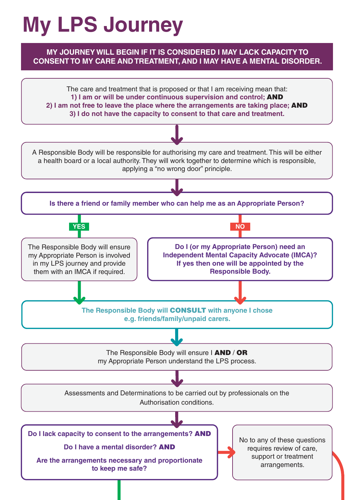## **My LPS Journey**

## **MY JOURNEY WILL BEGIN IF IT IS CONSIDERED I MAY LACK CAPACITY TO CONSENT TO MY CARE AND TREATMENT, AND I MAY HAVE A MENTAL DISORDER.**